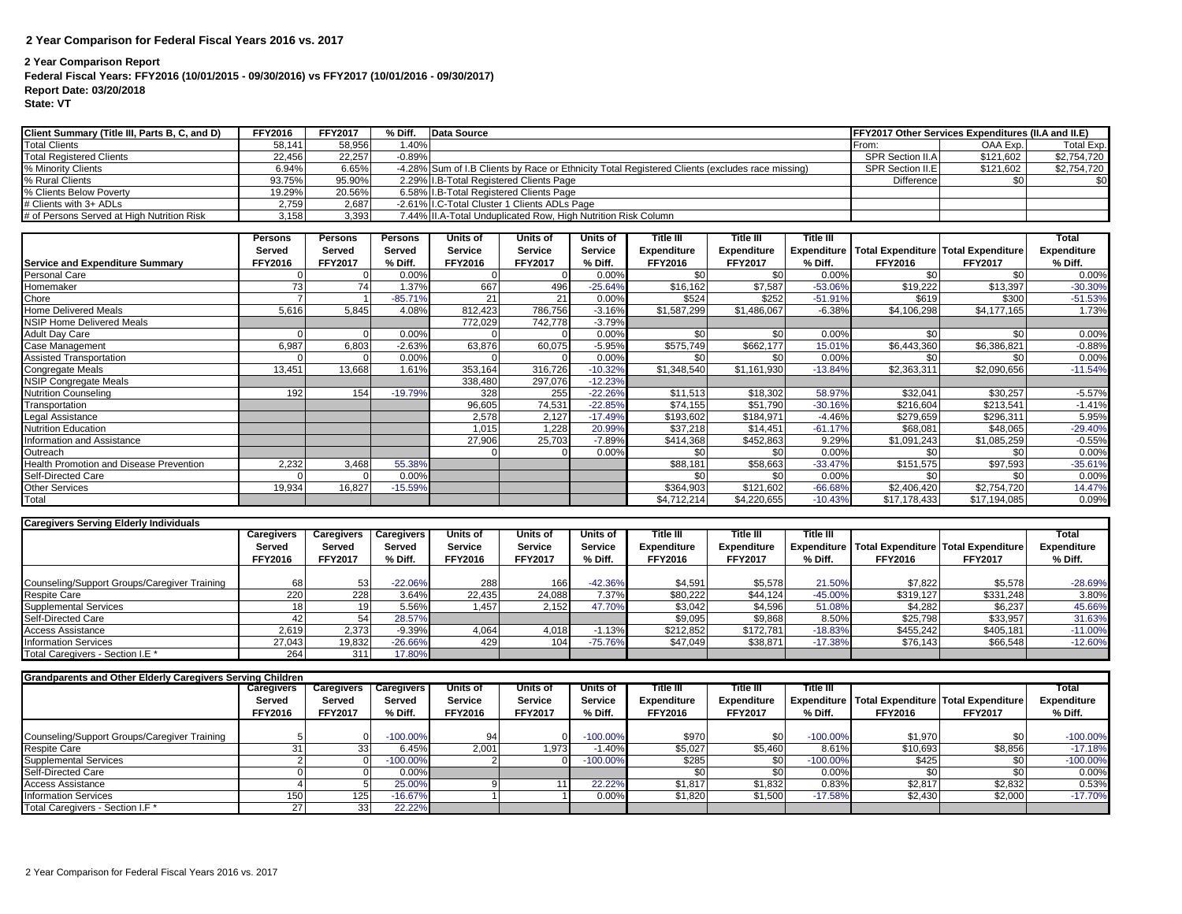## **2 Year Comparison for Federal Fiscal Years 2016 vs. 2017**

## **2 Year Comparison Report**

## **Federal Fiscal Years: FFY2016 (10/01/2015 - 09/30/2016) vs FFY2017 (10/01/2016 - 09/30/2017)**

**Report Date: 03/20/2018**

**State: VT**

| Client Summary (Title III, Parts B, C, and D) | <b>FFY2016</b> | <b>FFY2017</b> | % Diff.  | Data Source                                                                                     | FFY2017 Other Services Expenditures (II.A and II.E) |           |             |
|-----------------------------------------------|----------------|----------------|----------|-------------------------------------------------------------------------------------------------|-----------------------------------------------------|-----------|-------------|
| <b>Total Clients</b>                          | 58.141         | 58.956         | .40%     |                                                                                                 | From:                                               | OAA Exp.  | Total Exp.  |
| <b>Total Registered Clients</b>               | 22.456         | 22.257         | $-0.89%$ |                                                                                                 | SPR Section II.A                                    | \$121.602 | \$2,754,720 |
| % Minority Clients                            | 6.94%          | 6.65%          |          | -4.28% Sum of I.B Clients by Race or Ethnicity Total Registered Clients (excludes race missing) | SPR Section II.E                                    | \$121.602 | \$2,754,720 |
| % Rural Clients                               | 93.75%         | 95.90%         |          | 2.29% I.B-Total Registered Clients Page                                                         | <b>Difference</b>                                   |           | \$01        |
| % Clients Below Poverty                       | 19.29%         | 20.56%         |          | 6.58% I.B-Total Registered Clients Page                                                         |                                                     |           |             |
| # Clients with 3+ ADLs                        | 2,759          | 2.687          |          | -2.61% I.C-Total Cluster 1 Clients ADLs Page                                                    |                                                     |           |             |
| # of Persons Served at High Nutrition Risk    | 3,158          | 3,393          |          | 7.44% II.A-Total Unduplicated Row, High Nutrition Risk Column                                   |                                                     |           |             |

|                                                | <b>Persons</b> | <b>Persons</b> | Persons   | <b>Units of</b> | <b>Units of</b> | Units of  | Title III      | Title III          | Title III |                                                        |                | <b>Total</b> |
|------------------------------------------------|----------------|----------------|-----------|-----------------|-----------------|-----------|----------------|--------------------|-----------|--------------------------------------------------------|----------------|--------------|
|                                                | Served         | Served         | Served    | Service         | Service         | Service   | Expenditure    | <b>Expenditure</b> |           | <b>Expenditure Total Expenditure Total Expenditure</b> |                | Expenditure  |
| <b>Service and Expenditure Summary</b>         | <b>FFY2016</b> | <b>FFY2017</b> | % Diff.   | <b>FFY2016</b>  | <b>FFY2017</b>  | % Diff.   | <b>FFY2016</b> | <b>FFY2017</b>     | % Diff.   | <b>FFY2016</b>                                         | <b>FFY2017</b> | % Diff.      |
| Personal Care                                  |                |                | 0.00%     |                 |                 | 0.00%     | \$0            | \$0                | 0.00%     | \$0                                                    | \$0            | 0.00%        |
| Homemaker                                      | 73             | 74             | 1.37%     | 667             | 496             | $-25.64%$ | \$16,162       | \$7,587            | $-53.06%$ | \$19,222                                               | \$13,397       | $-30.30%$    |
| Chore                                          |                |                | $-85.71%$ | 21              | 21              | 0.00%     | \$524          | \$252              | $-51.91%$ | \$619                                                  | \$300          | $-51.53%$    |
| Home Delivered Meals                           | 5,616          | 5,845          | 4.08%     | 812,423         | 786,756         | $-3.16%$  | \$1,587,299    | \$1,486,067        | $-6.38%$  | \$4,106,298                                            | \$4,177,165    | 1.73%        |
| <b>NSIP Home Delivered Meals</b>               |                |                |           | 772,029         | 742,778         | $-3.79%$  |                |                    |           |                                                        |                |              |
| Adult Day Care                                 |                |                | 0.00%     |                 |                 | 0.00%     | \$0            | \$0                | 0.00%     | \$0                                                    | \$0            | 0.00%        |
| Case Management                                | 6,987          | 6,803          | $-2.63%$  | 63,876          | 60,075          | $-5.95%$  | \$575,749      | \$662,177          | 15.01%    | \$6,443,360                                            | \$6,386,821    | $-0.88%$     |
| <b>Assisted Transportation</b>                 |                |                | 0.00%     |                 |                 | 0.00%     | \$0            | \$0                | 0.00%     | \$0                                                    | \$0            | 0.00%        |
| Congregate Meals                               | 13,451         | 13,668         | 1.61%     | 353.164         | 316,726         | $-10.32%$ | \$1,348,540    | \$1,161,930        | $-13.849$ | \$2,363,311                                            | \$2,090,656    | $-11.54%$    |
| NSIP Congregate Meals                          |                |                |           | 338,480         | 297,076         | $-12.23%$ |                |                    |           |                                                        |                |              |
| <b>Nutrition Counseling</b>                    | 192            | 154            | $-19.79%$ | 328             | 255             | $-22.26%$ | \$11,513       | \$18,302           | 58.97%    | \$32,041                                               | \$30,257       | $-5.57%$     |
| Transportation                                 |                |                |           | 96,605          | 74,531          | $-22.85%$ | \$74,155       | \$51,790           | $-30.16%$ | \$216,604                                              | \$213,541      | $-1.41%$     |
| Legal Assistance                               |                |                |           | 2,578           | 2,127           | $-17.49%$ | \$193,602      | \$184,971          | $-4.46%$  | \$279,659                                              | \$296,311      | 5.95%        |
| <b>Nutrition Education</b>                     |                |                |           | 1,015           | 1,228           | 20.99%    | \$37,218       | \$14,451           | $-61.17%$ | \$68,081                                               | \$48,065       | $-29.40%$    |
| nformation and Assistance                      |                |                |           | 27,906          | 25,703          | $-7.89%$  | \$414,368      | \$452,863          | 9.29%     | \$1,091,243                                            | \$1,085,259    | $-0.55%$     |
| Outreach                                       |                |                |           |                 |                 | 0.00%     | \$0            | \$0                | 0.00%     | \$0                                                    | \$0            | 0.00%        |
| <b>Health Promotion and Disease Prevention</b> | 2,232          | 3,468          | 55.38%    |                 |                 |           | \$88,181       | \$58,663           | $-33.47%$ | \$151,575                                              | \$97,593       | $-35.61%$    |
| Self-Directed Care                             |                |                | 0.00%     |                 |                 |           | \$0            | \$0                | 0.00%     | \$0 <sub>1</sub>                                       | \$0            | 0.00%        |
| Other Services                                 | 19,934         | 16,827         | $-15.59%$ |                 |                 |           | \$364,903      | \$121,602          | $-66.68%$ | \$2,406,420                                            | \$2,754,720    | 14.47%       |
| Total                                          |                |                |           |                 |                 |           | \$4,712,214    | \$4,220,655        | $-10.43%$ | \$17,178,433                                           | \$17,194,085   | 0.09%        |

| <b>Caregivers Serving Elderly Individuals</b> |                |                |                     |                 |                  |                |                |                    |           |                                                     |                |                    |
|-----------------------------------------------|----------------|----------------|---------------------|-----------------|------------------|----------------|----------------|--------------------|-----------|-----------------------------------------------------|----------------|--------------------|
|                                               | Caregivers     | Caregivers     | <b>Caregivers</b> I | <b>Units of</b> | Units of         | Units of       | Title III      | Title III          | Title III |                                                     |                | Total              |
|                                               | Served         | Served         | Served              | <b>Service</b>  | <b>Service</b>   | <b>Service</b> | Expenditure    | <b>Expenditure</b> |           | Expenditure   Total Expenditure   Total Expenditure |                | <b>Expenditure</b> |
|                                               | <b>FFY2016</b> | <b>FFY2017</b> | % Diff.             | <b>FFY2016</b>  | <b>FFY2017</b>   | % Diff.        | <b>FFY2016</b> | <b>FFY2017</b>     | % Diff.   | <b>FFY2016</b>                                      | <b>FFY2017</b> | % Diff.            |
|                                               |                |                |                     |                 |                  |                |                |                    |           |                                                     |                |                    |
| Counseling/Support Groups/Caregiver Training  | 68             | 53             | $-22.06%$           | 288             | 166              | $-42.36%$      | \$4,591        | \$5,578            | 21.50%    | \$7,822                                             | \$5,578        | $-28.69%$          |
| <b>Respite Care</b>                           | 220            | 228            | 3.64%               | 22.435          | 24,088           | 7.37%          | \$80,222       | \$44,124           | $-45.00%$ | \$319,127                                           | \$331,248      | 3.80%              |
| <b>Supplemental Services</b>                  | 181            |                | 5.56%               | l.457           | 2,152            | 47.70%         | \$3,042        | \$4,596            | 51.08%    | \$4,282                                             | \$6,237        | 45.66%             |
| Self-Directed Care                            |                |                | 28.57%              |                 |                  |                | \$9,095        | \$9,868            | 8.50%     | \$25,798                                            | \$33,957       | 31.63%             |
| <b>Access Assistance</b>                      | 2,619          | 2,373          | $-9.39%$            | 4,064           | 4.018            | $-1.13%$       | \$212,852      | \$172.781          | $-18.83%$ | \$455,242                                           | \$405,181      | $-11.00%$          |
| <b>Information Services</b>                   | 27,043         | 19,832         | $-26.66%$           | 429             | 104 <sub>1</sub> | $-75.76%$      | \$47,049       | \$38,871           | $-17.38%$ | \$76,143                                            | \$66,548       | $-12.60%$          |
| Total Caregivers - Section I.E *              | 264            | 311            | 17.80%              |                 |                  |                |                |                    |           |                                                     |                |                    |

| <b>Grandparents and Other Elderly Caregivers Serving Children</b> |                |                 |                   |                 |                 |            |                |                  |             |                                                        |                |             |
|-------------------------------------------------------------------|----------------|-----------------|-------------------|-----------------|-----------------|------------|----------------|------------------|-------------|--------------------------------------------------------|----------------|-------------|
|                                                                   | Caregivers     | Caregivers      | <b>Caregivers</b> | <b>Units of</b> | <b>Units of</b> | Units of   | Title III      | <b>⊺itle III</b> | Title III   |                                                        |                | Total       |
|                                                                   | Served         | Served          | Served            | <b>Service</b>  | <b>Service</b>  | Service    | Expenditure    | Expenditure      |             | <b>Expenditure Total Expenditure Total Expenditure</b> |                | Expenditure |
|                                                                   | <b>FFY2016</b> | <b>FFY2017</b>  | % Diff.           | <b>FFY2016</b>  | <b>FFY2017</b>  | % Diff.    | <b>FFY2016</b> | <b>FFY2017</b>   | % Diff.     | <b>FFY2016</b>                                         | <b>FFY2017</b> | % Diff.     |
|                                                                   |                |                 |                   |                 |                 |            |                |                  |             |                                                        |                |             |
| Counseling/Support Groups/Caregiver Training                      |                |                 | $-100.00\%$       | 94              |                 | $-100.00%$ | \$970          | \$0              | $-100.00\%$ | \$1,970                                                | \$0            | $-100.00\%$ |
| <b>Respite Care</b>                                               |                |                 | 6.45%             | 2,001           | 1.973           | $-1.40%$   | \$5,027        | \$5,460          | 8.61%       | \$10,693                                               | \$8,856        | $-17.18%$   |
| <b>Supplemental Services</b>                                      |                |                 | $-100.00\%$       |                 |                 | $-100.00%$ | \$285          | SO.              | $-100.00\%$ | \$425                                                  |                | $-100.00\%$ |
| Self-Directed Care                                                |                |                 | 0.00%             |                 |                 |            |                |                  | 0.00%       |                                                        |                | $0.00\%$    |
| <b>Access Assistance</b>                                          |                |                 | 25.00%            |                 |                 | 22.22%     | \$1,817        | \$1,832          | 0.83%       | \$2,817                                                | \$2,832        | 0.53%       |
| <b>Information Services</b>                                       | 150            | 125             | $-16.67%$         |                 |                 | $0.00\%$   | \$1,820        | \$1,500          | $-17.58%$   | \$2,430                                                | \$2,000        | $-17.70%$   |
| Total Caregivers - Section I.F *                                  | 27             | 33 <sub>1</sub> | 22.22%            |                 |                 |            |                |                  |             |                                                        |                |             |